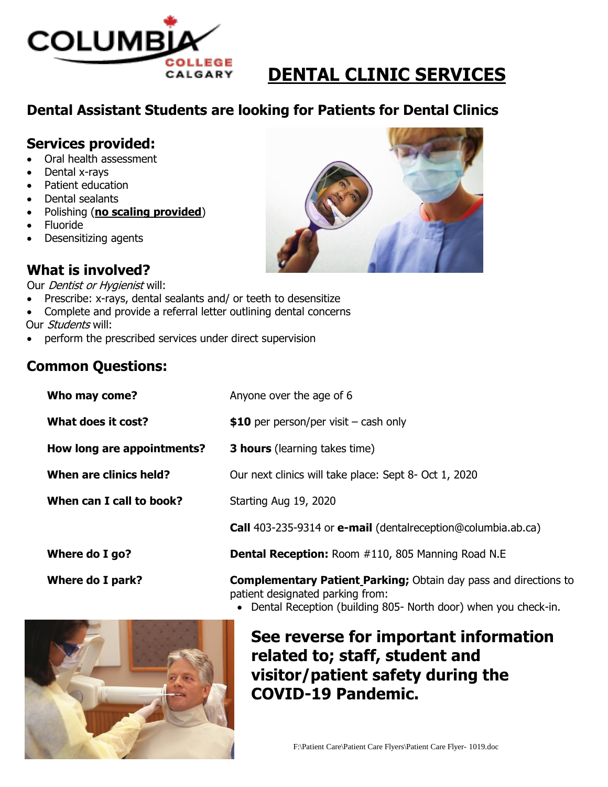

# **DENTAL CLINIC SERVICES**

## **Dental Assistant Students are looking for Patients for Dental Clinics**

#### **Services provided:**

- Oral health assessment
- Dental x-rays
- Patient education
- Dental sealants
- Polishing (**no scaling provided**)
- Fluoride
- Desensitizing agents

## **What is involved?**

Our *Dentist or Hygienist* will:

- Prescribe: x-rays, dental sealants and/ or teeth to desensitize
- Complete and provide a referral letter outlining dental concerns
- Our Students will:
- perform the prescribed services under direct supervision

#### **Common Questions:**

| Who may come?              | Anyone over the age of 6                                                   |
|----------------------------|----------------------------------------------------------------------------|
| What does it cost?         | \$10 per person/per visit $-$ cash only                                    |
| How long are appointments? | <b>3 hours</b> (learning takes time)                                       |
| When are clinics held?     | Our next clinics will take place: Sept 8- Oct 1, 2020                      |
| When can I call to book?   | Starting Aug 19, 2020                                                      |
|                            | <b>Call</b> 403-235-9314 or <b>e-mail</b> (dentalreception@columbia.ab.ca) |
| Where do I go?             | <b>Dental Reception: Room #110, 805 Manning Road N.E</b>                   |
| Where do I park?           | <b>Complementary Patient Parking;</b> Obtain day pass and directions to    |



Dental Reception (building 805- North door) when you check-in.



## **See reverse for important information related to; staff, student and visitor/patient safety during the COVID-19 Pandemic.**